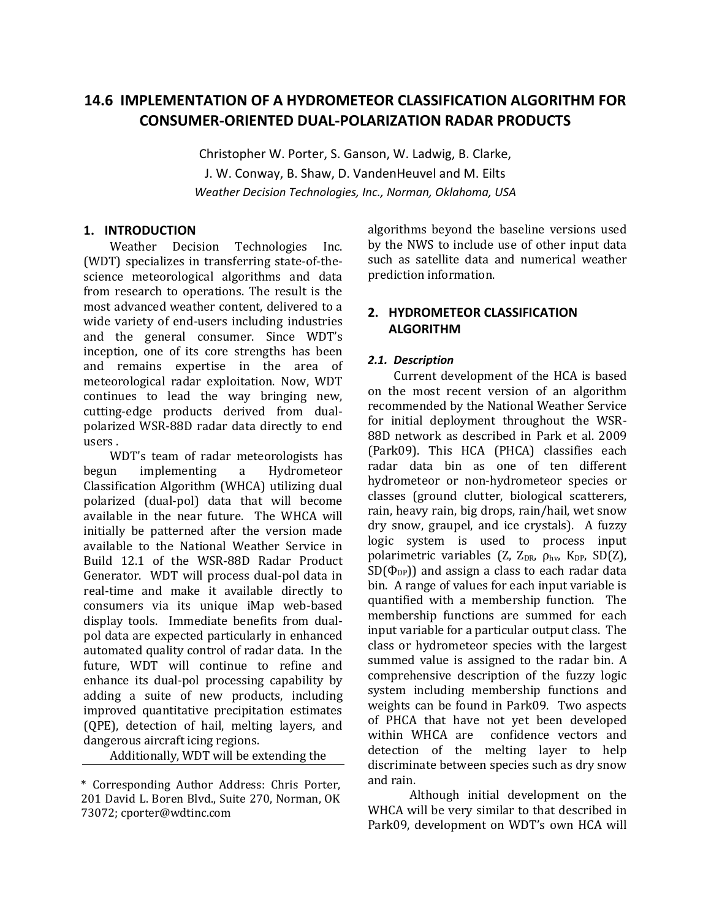# **14.6 IMPLEMENTATION OF A HYDROMETEOR CLASSIFICATION ALGORITHM FOR CONSUMER-ORIENTED DUAL-POLARIZATION RADAR PRODUCTS**

Christopher W. Porter, S. Ganson, W. Ladwig, B. Clarke, J. W. Conway, B. Shaw, D. VandenHeuvel and M. Eilts *Weather Decision Technologies, Inc., Norman, Oklahoma, USA*

### **1. INTRODUCTION**

Weather Decision Technologies Inc. (WDT) specializes in transferring state-of-thescience meteorological algorithms and data from research to operations. The result is the most advanced weather content, delivered to a wide variety of end-users including industries and the general consumer. Since WDT's inception, one of its core strengths has been and remains expertise in the area of meteorological radar exploitation. Now, WDT continues to lead the way bringing new, cutting-edge products derived from dualpolarized WSR-88D radar data directly to end users .

WDT's team of radar meteorologists has begun implementing a Hydrometeor Classification Algorithm (WHCA) utilizing dual polarized (dual-pol) data that will become available in the near future. The WHCA will initially be patterned after the version made available to the National Weather Service in Build 12.1 of the WSR-88D Radar Product Generator. WDT will process dual-pol data in real-time and make it available directly to consumers via its unique iMap web-based display tools. Immediate benefits from dualpol data are expected particularly in enhanced automated quality control of radar data. In the future, WDT will continue to refine and enhance its dual-pol processing capability by adding a suite of new products, including improved quantitative precipitation estimates (QPE), detection of hail, melting layers, and dangerous aircraft icing regions.

Additionally, WDT will be extending the

algorithms beyond the baseline versions used by the NWS to include use of other input data such as satellite data and numerical weather prediction information.

# **2. HYDROMETEOR CLASSIFICATION ALGORITHM**

## *2.1. Description*

Current development of the HCA is based on the most recent version of an algorithm recommended by the National Weather Service for initial deployment throughout the WSR-88D network as described in Park et al. 2009 (Park09). This HCA (PHCA) classifies each radar data bin as one of ten different hydrometeor or non-hydrometeor species or classes (ground clutter, biological scatterers, rain, heavy rain, big drops, rain/hail, wet snow dry snow, graupel, and ice crystals). A fuzzy logic system is used to process input polarimetric variables (Z,  $Z_{DR}$ ,  $\rho_{hv}$ ,  $K_{DP}$ ,  $SD(Z)$ ,  $SD(\Phi_{DP})$ ) and assign a class to each radar data bin. A range of values for each input variable is quantified with a membership function. The membership functions are summed for each input variable for a particular output class. The class or hydrometeor species with the largest summed value is assigned to the radar bin. A comprehensive description of the fuzzy logic system including membership functions and weights can be found in Park09. Two aspects of PHCA that have not yet been developed within WHCA are confidence vectors and detection of the melting layer to help discriminate between species such as dry snow and rain.

Although initial development on the WHCA will be very similar to that described in Park09, development on WDT's own HCA will

<sup>\*</sup> Corresponding Author Address: Chris Porter, 201 David L. Boren Blvd., Suite 270, Norman, OK 73072; cporter@wdtinc.com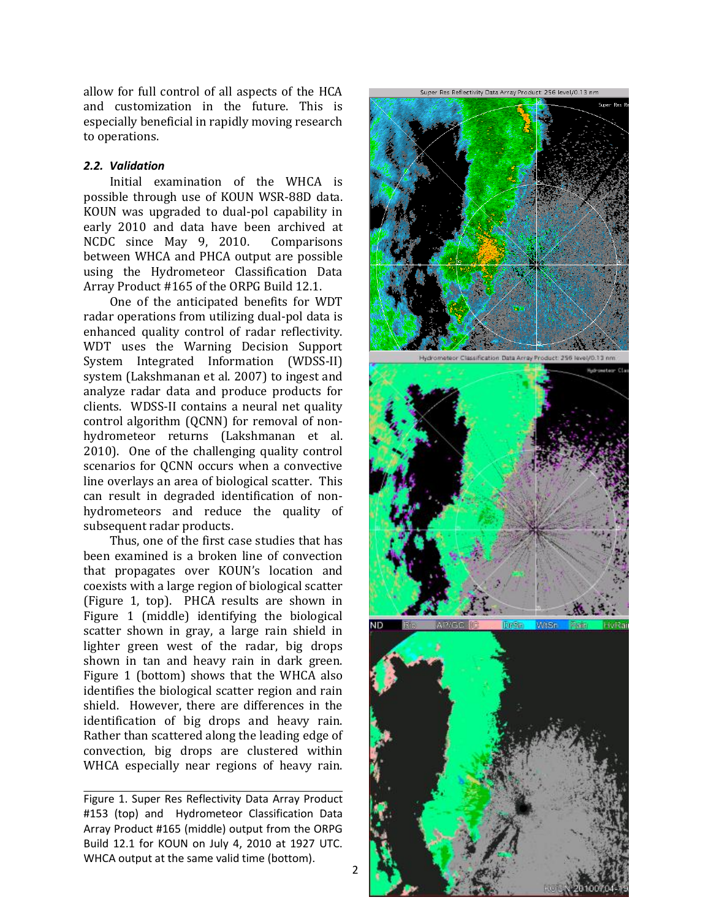allow for full control of all aspects of the HCA and customization in the future. This is especially beneficial in rapidly moving research to operations.

#### *2.2. Validation*

Initial examination of the WHCA is possible through use of KOUN WSR-88D data. KOUN was upgraded to dual-pol capability in early 2010 and data have been archived at NCDC since May 9, 2010. Comparisons between WHCA and PHCA output are possible using the Hydrometeor Classification Data Array Product #165 of the ORPG Build 12.1.

One of the anticipated benefits for WDT radar operations from utilizing dual-pol data is enhanced quality control of radar reflectivity. WDT uses the Warning Decision Support System Integrated Information (WDSS-II) system (Lakshmanan et al. 2007) to ingest and analyze radar data and produce products for clients. WDSS-II contains a neural net quality control algorithm (QCNN) for removal of nonhydrometeor returns (Lakshmanan et al. 2010). One of the challenging quality control scenarios for QCNN occurs when a convective line overlays an area of biological scatter. This can result in degraded identification of nonhydrometeors and reduce the quality of subsequent radar products.

Thus, one of the first case studies that has been examined is a broken line of convection that propagates over KOUN's location and coexists with a large region of biological scatter (Figure 1, top). PHCA results are shown in Figure 1 (middle) identifying the biological scatter shown in gray, a large rain shield in lighter green west of the radar, big drops shown in tan and heavy rain in dark green. Figure 1 (bottom) shows that the WHCA also identifies the biological scatter region and rain shield. However, there are differences in the identification of big drops and heavy rain. Rather than scattered along the leading edge of convection, big drops are clustered within WHCA especially near regions of heavy rain.

Figure 1. Super Res Reflectivity Data Array Product #153 (top) and Hydrometeor Classification Data Array Product #165 (middle) output from the ORPG Build 12.1 for KOUN on July 4, 2010 at 1927 UTC. WHCA output at the same valid time (bottom).



Hydrometeor Classification Data Array Product: 256 level/0.13 nm.



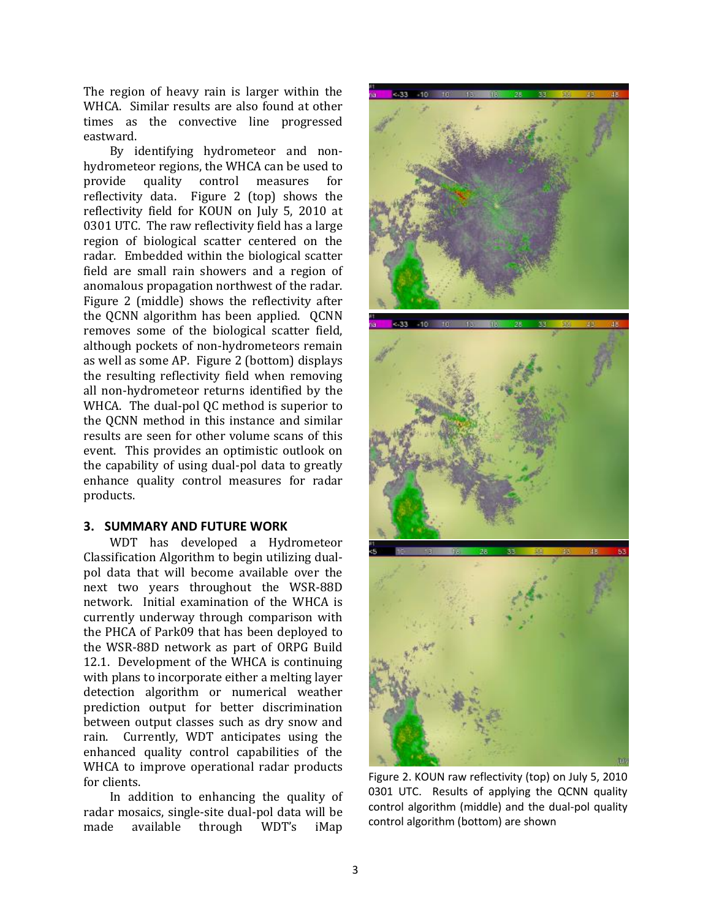The region of heavy rain is larger within the WHCA. Similar results are also found at other times as the convective line progressed eastward.

By identifying hydrometeor and nonhydrometeor regions, the WHCA can be used to provide quality control measures for reflectivity data. Figure 2 (top) shows the reflectivity field for KOUN on July 5, 2010 at 0301 UTC. The raw reflectivity field has a large region of biological scatter centered on the radar. Embedded within the biological scatter field are small rain showers and a region of anomalous propagation northwest of the radar. Figure 2 (middle) shows the reflectivity after the QCNN algorithm has been applied. QCNN removes some of the biological scatter field, although pockets of non-hydrometeors remain as well as some AP. Figure 2 (bottom) displays the resulting reflectivity field when removing all non-hydrometeor returns identified by the WHCA. The dual-pol QC method is superior to the QCNN method in this instance and similar results are seen for other volume scans of this event. This provides an optimistic outlook on the capability of using dual-pol data to greatly enhance quality control measures for radar products.

### **3. SUMMARY AND FUTURE WORK**

WDT has developed a Hydrometeor Classification Algorithm to begin utilizing dualpol data that will become available over the next two years throughout the WSR-88D network. Initial examination of the WHCA is currently underway through comparison with the PHCA of Park09 that has been deployed to the WSR-88D network as part of ORPG Build 12.1. Development of the WHCA is continuing with plans to incorporate either a melting layer detection algorithm or numerical weather prediction output for better discrimination between output classes such as dry snow and rain. Currently, WDT anticipates using the enhanced quality control capabilities of the WHCA to improve operational radar products for clients.

In addition to enhancing the quality of radar mosaics, single-site dual-pol data will be made available through WDT's iMap



Figure 2. KOUN raw reflectivity (top) on July 5, 2010 0301 UTC. Results of applying the QCNN quality control algorithm (middle) and the dual-pol quality control algorithm (bottom) are shown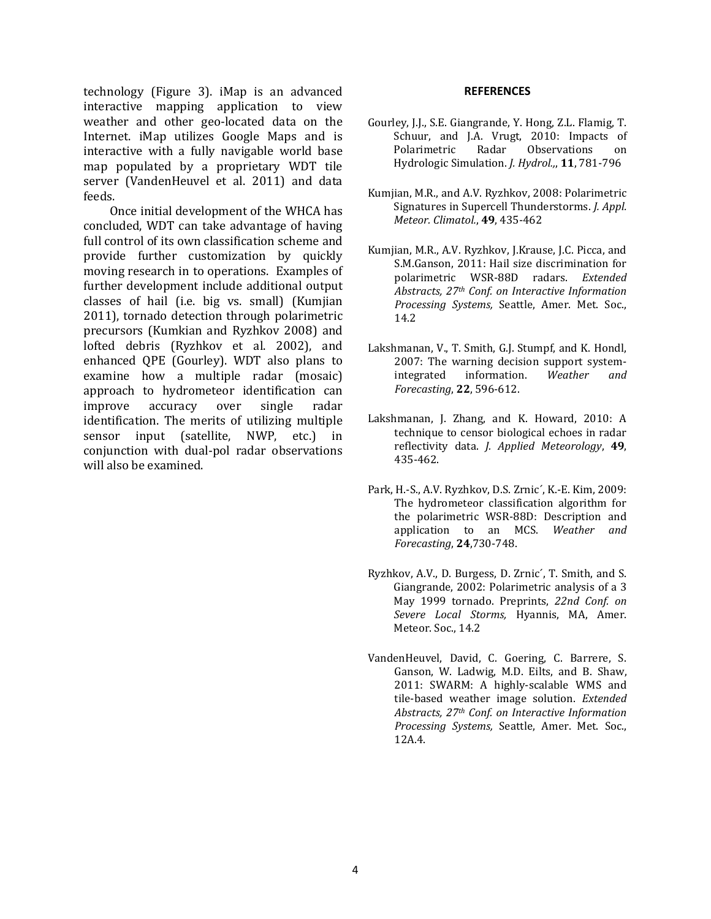technology (Figure 3). iMap is an advanced interactive mapping application to view weather and other geo-located data on the Internet. iMap utilizes Google Maps and is interactive with a fully navigable world base map populated by a proprietary WDT tile server (VandenHeuvel et al. 2011) and data feeds.

Once initial development of the WHCA has concluded, WDT can take advantage of having full control of its own classification scheme and provide further customization by quickly moving research in to operations. Examples of further development include additional output classes of hail (i.e. big vs. small) (Kumjian 2011), tornado detection through polarimetric precursors (Kumkian and Ryzhkov 2008) and lofted debris (Ryzhkov et al. 2002), and enhanced QPE (Gourley). WDT also plans to examine how a multiple radar (mosaic) approach to hydrometeor identification can improve accuracy over single radar identification. The merits of utilizing multiple sensor input (satellite, NWP, etc.) in conjunction with dual-pol radar observations will also be examined.

#### **REFERENCES**

- Gourley, J.J., S.E. Giangrande, Y. Hong, Z.L. Flamig, T. Schuur, and J.A. Vrugt, 2010: Impacts of Polarimetric Radar Observations on Hydrologic Simulation. *J. Hydrol.,*, **11**, 781-796
- Kumjian, M.R., and A.V. Ryzhkov, 2008: Polarimetric Signatures in Supercell Thunderstorms. *J. Appl. Meteor. Climatol.*, **49**, 435-462
- Kumjian, M.R., A.V. Ryzhkov, J.Krause, J.C. Picca, and S.M.Ganson, 2011: Hail size discrimination for polarimetric WSR-88D radars. *Extended Abstracts, 27th Conf. on Interactive Information Processing Systems,* Seattle, Amer. Met. Soc., 14.2
- Lakshmanan, V., T. Smith, G.J. Stumpf, and K. Hondl, 2007: The warning decision support systemintegrated information. *Weather and Forecasting*, **22**, 596-612.
- Lakshmanan, J. Zhang, and K. Howard, 2010: A technique to censor biological echoes in radar reflectivity data. *J. Applied Meteorology*, **49**, 435-462.
- Park, H.-S., A.V. Ryzhkov, D.S. Zrnic´, K.-E. Kim, 2009: The hydrometeor classification algorithm for the polarimetric WSR-88D: Description and application to an MCS. *Weather and Forecasting*, **24**,730-748.
- Ryzhkov, A.V., D. Burgess, D. Zrnic´, T. Smith, and S. Giangrande, 2002: Polarimetric analysis of a 3 May 1999 tornado. Preprints, *22nd Conf. on Severe Local Storms,* Hyannis, MA, Amer. Meteor. Soc., 14.2
- VandenHeuvel, David, C. Goering, C. Barrere, S. Ganson, W. Ladwig, M.D. Eilts, and B. Shaw, 2011: SWARM: A highly-scalable WMS and tile-based weather image solution. *Extended Abstracts, 27th Conf. on Interactive Information Processing Systems,* Seattle, Amer. Met. Soc., 12A.4.